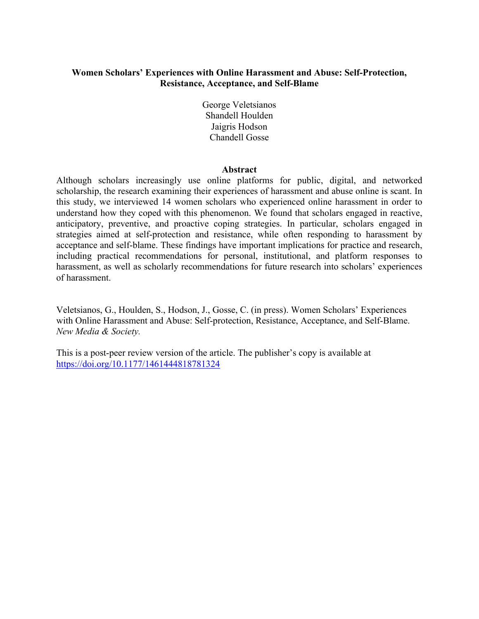## **Women Scholars' Experiences with Online Harassment and Abuse: Self-Protection, Resistance, Acceptance, and Self-Blame**

George Veletsianos Shandell Houlden Jaigris Hodson Chandell Gosse

## **Abstract**

Although scholars increasingly use online platforms for public, digital, and networked scholarship, the research examining their experiences of harassment and abuse online is scant. In this study, we interviewed 14 women scholars who experienced online harassment in order to understand how they coped with this phenomenon. We found that scholars engaged in reactive, anticipatory, preventive, and proactive coping strategies. In particular, scholars engaged in strategies aimed at self-protection and resistance, while often responding to harassment by acceptance and self-blame. These findings have important implications for practice and research, including practical recommendations for personal, institutional, and platform responses to harassment, as well as scholarly recommendations for future research into scholars' experiences of harassment.

Veletsianos, G., Houlden, S., Hodson, J., Gosse, C. (in press). Women Scholars' Experiences with Online Harassment and Abuse: Self-protection, Resistance, Acceptance, and Self-Blame. *New Media & Society.* 

This is a post-peer review version of the article. The publisher's copy is available at https://doi.org/10.1177/1461444818781324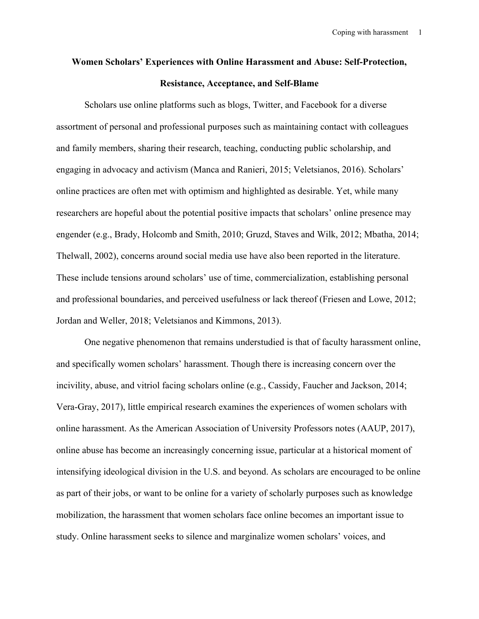# **Women Scholars' Experiences with Online Harassment and Abuse: Self-Protection, Resistance, Acceptance, and Self-Blame**

Scholars use online platforms such as blogs, Twitter, and Facebook for a diverse assortment of personal and professional purposes such as maintaining contact with colleagues and family members, sharing their research, teaching, conducting public scholarship, and engaging in advocacy and activism (Manca and Ranieri, 2015; Veletsianos, 2016). Scholars' online practices are often met with optimism and highlighted as desirable. Yet, while many researchers are hopeful about the potential positive impacts that scholars' online presence may engender (e.g., Brady, Holcomb and Smith, 2010; Gruzd, Staves and Wilk, 2012; Mbatha, 2014; Thelwall, 2002), concerns around social media use have also been reported in the literature. These include tensions around scholars' use of time, commercialization, establishing personal and professional boundaries, and perceived usefulness or lack thereof (Friesen and Lowe, 2012; Jordan and Weller, 2018; Veletsianos and Kimmons, 2013).

One negative phenomenon that remains understudied is that of faculty harassment online, and specifically women scholars' harassment. Though there is increasing concern over the incivility, abuse, and vitriol facing scholars online (e.g., Cassidy, Faucher and Jackson, 2014; Vera-Gray, 2017), little empirical research examines the experiences of women scholars with online harassment. As the American Association of University Professors notes (AAUP, 2017), online abuse has become an increasingly concerning issue, particular at a historical moment of intensifying ideological division in the U.S. and beyond. As scholars are encouraged to be online as part of their jobs, or want to be online for a variety of scholarly purposes such as knowledge mobilization, the harassment that women scholars face online becomes an important issue to study. Online harassment seeks to silence and marginalize women scholars' voices, and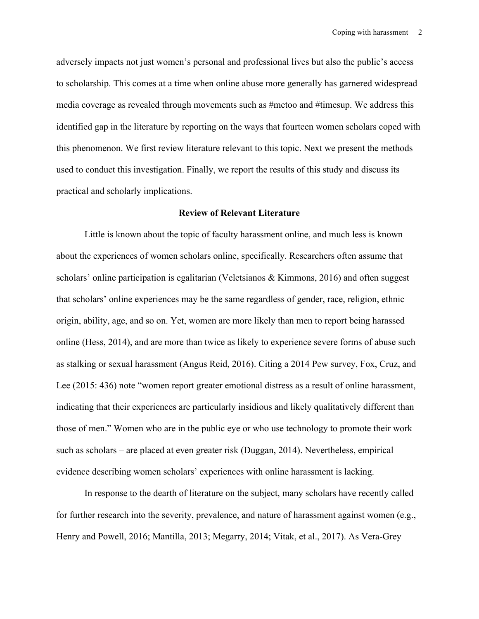adversely impacts not just women's personal and professional lives but also the public's access to scholarship. This comes at a time when online abuse more generally has garnered widespread media coverage as revealed through movements such as #metoo and #timesup. We address this identified gap in the literature by reporting on the ways that fourteen women scholars coped with this phenomenon. We first review literature relevant to this topic. Next we present the methods used to conduct this investigation. Finally, we report the results of this study and discuss its practical and scholarly implications.

## **Review of Relevant Literature**

Little is known about the topic of faculty harassment online, and much less is known about the experiences of women scholars online, specifically. Researchers often assume that scholars' online participation is egalitarian (Veletsianos  $\&$  Kimmons, 2016) and often suggest that scholars' online experiences may be the same regardless of gender, race, religion, ethnic origin, ability, age, and so on. Yet, women are more likely than men to report being harassed online (Hess, 2014), and are more than twice as likely to experience severe forms of abuse such as stalking or sexual harassment (Angus Reid, 2016). Citing a 2014 Pew survey, Fox, Cruz, and Lee (2015: 436) note "women report greater emotional distress as a result of online harassment, indicating that their experiences are particularly insidious and likely qualitatively different than those of men." Women who are in the public eye or who use technology to promote their work – such as scholars – are placed at even greater risk (Duggan, 2014). Nevertheless, empirical evidence describing women scholars' experiences with online harassment is lacking.

In response to the dearth of literature on the subject, many scholars have recently called for further research into the severity, prevalence, and nature of harassment against women (e.g., Henry and Powell, 2016; Mantilla, 2013; Megarry, 2014; Vitak, et al., 2017). As Vera-Grey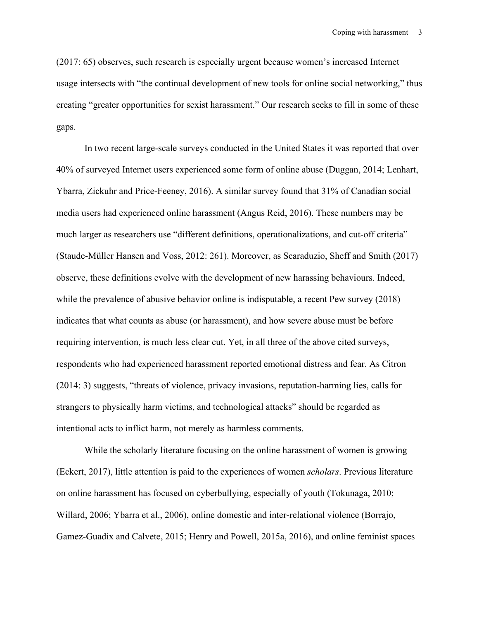(2017: 65) observes, such research is especially urgent because women's increased Internet usage intersects with "the continual development of new tools for online social networking," thus creating "greater opportunities for sexist harassment." Our research seeks to fill in some of these gaps.

In two recent large-scale surveys conducted in the United States it was reported that over 40% of surveyed Internet users experienced some form of online abuse (Duggan, 2014; Lenhart, Ybarra, Zickuhr and Price-Feeney, 2016). A similar survey found that 31% of Canadian social media users had experienced online harassment (Angus Reid, 2016). These numbers may be much larger as researchers use "different definitions, operationalizations, and cut-off criteria" (Staude-Müller Hansen and Voss, 2012: 261). Moreover, as Scaraduzio, Sheff and Smith (2017) observe, these definitions evolve with the development of new harassing behaviours. Indeed, while the prevalence of abusive behavior online is indisputable, a recent Pew survey (2018) indicates that what counts as abuse (or harassment), and how severe abuse must be before requiring intervention, is much less clear cut. Yet, in all three of the above cited surveys, respondents who had experienced harassment reported emotional distress and fear. As Citron (2014: 3) suggests, "threats of violence, privacy invasions, reputation-harming lies, calls for strangers to physically harm victims, and technological attacks" should be regarded as intentional acts to inflict harm, not merely as harmless comments.

While the scholarly literature focusing on the online harassment of women is growing (Eckert, 2017), little attention is paid to the experiences of women *scholars*. Previous literature on online harassment has focused on cyberbullying, especially of youth (Tokunaga, 2010; Willard, 2006; Ybarra et al., 2006), online domestic and inter-relational violence (Borrajo, Gamez-Guadix and Calvete, 2015; Henry and Powell, 2015a, 2016), and online feminist spaces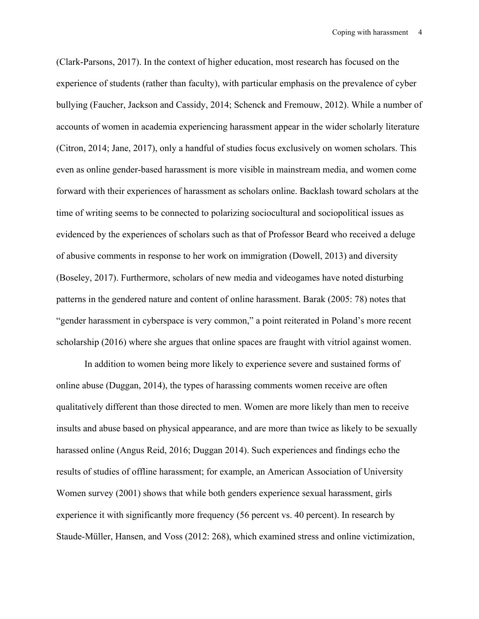(Clark-Parsons, 2017). In the context of higher education, most research has focused on the experience of students (rather than faculty), with particular emphasis on the prevalence of cyber bullying (Faucher, Jackson and Cassidy, 2014; Schenck and Fremouw, 2012). While a number of accounts of women in academia experiencing harassment appear in the wider scholarly literature (Citron, 2014; Jane, 2017), only a handful of studies focus exclusively on women scholars. This even as online gender-based harassment is more visible in mainstream media, and women come forward with their experiences of harassment as scholars online. Backlash toward scholars at the time of writing seems to be connected to polarizing sociocultural and sociopolitical issues as evidenced by the experiences of scholars such as that of Professor Beard who received a deluge of abusive comments in response to her work on immigration (Dowell, 2013) and diversity (Boseley, 2017). Furthermore, scholars of new media and videogames have noted disturbing patterns in the gendered nature and content of online harassment. Barak (2005: 78) notes that "gender harassment in cyberspace is very common," a point reiterated in Poland's more recent scholarship (2016) where she argues that online spaces are fraught with vitriol against women.

In addition to women being more likely to experience severe and sustained forms of online abuse (Duggan, 2014), the types of harassing comments women receive are often qualitatively different than those directed to men. Women are more likely than men to receive insults and abuse based on physical appearance, and are more than twice as likely to be sexually harassed online (Angus Reid, 2016; Duggan 2014). Such experiences and findings echo the results of studies of offline harassment; for example, an American Association of University Women survey (2001) shows that while both genders experience sexual harassment, girls experience it with significantly more frequency (56 percent vs. 40 percent). In research by Staude-Müller, Hansen, and Voss (2012: 268), which examined stress and online victimization,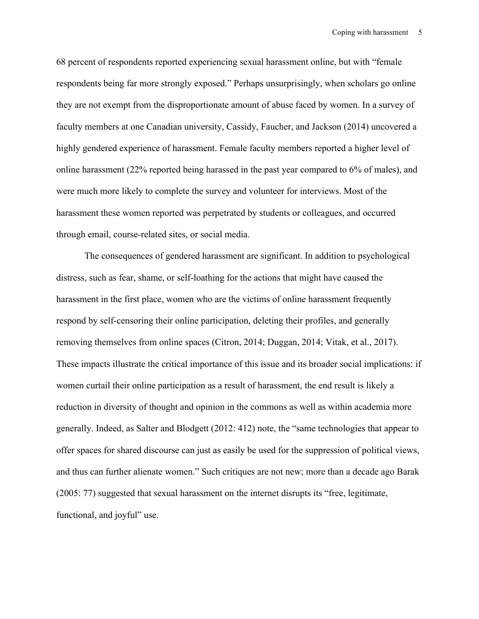68 percent of respondents reported experiencing sexual harassment online, but with "female respondents being far more strongly exposed." Perhaps unsurprisingly, when scholars go online they are not exempt from the disproportionate amount of abuse faced by women. In a survey of faculty members at one Canadian university, Cassidy, Faucher, and Jackson (2014) uncovered a highly gendered experience of harassment. Female faculty members reported a higher level of online harassment (22% reported being harassed in the past year compared to 6% of males), and were much more likely to complete the survey and volunteer for interviews. Most of the harassment these women reported was perpetrated by students or colleagues, and occurred through email, course-related sites, or social media.

The consequences of gendered harassment are significant. In addition to psychological distress, such as fear, shame, or self-loathing for the actions that might have caused the harassment in the first place, women who are the victims of online harassment frequently respond by self-censoring their online participation, deleting their profiles, and generally removing themselves from online spaces (Citron, 2014; Duggan, 2014; Vitak, et al., 2017). These impacts illustrate the critical importance of this issue and its broader social implications: if women curtail their online participation as a result of harassment, the end result is likely a reduction in diversity of thought and opinion in the commons as well as within academia more generally. Indeed, as Salter and Blodgett (2012: 412) note, the "same technologies that appear to offer spaces for shared discourse can just as easily be used for the suppression of political views, and thus can further alienate women." Such critiques are not new; more than a decade ago Barak (2005: 77) suggested that sexual harassment on the internet disrupts its "free, legitimate, functional, and joyful" use.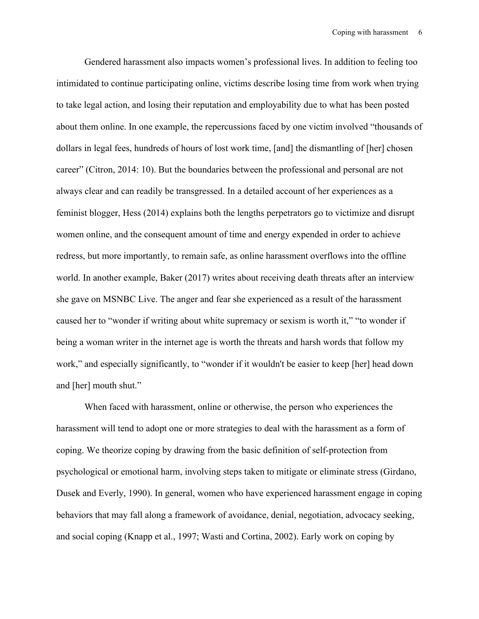Gendered harassment also impacts women's professional lives. In addition to feeling too intimidated to continue participating online, victims describe losing time from work when trying to take legal action, and losing their reputation and employability due to what has been posted about them online. In one example, the repercussions faced by one victim involved "thousands of dollars in legal fees, hundreds of hours of lost work time, [and] the dismantling of [her] chosen career" (Citron, 2014: 10). But the boundaries between the professional and personal are not always clear and can readily be transgressed. In a detailed account of her experiences as a feminist blogger, Hess (2014) explains both the lengths perpetrators go to victimize and disrupt women online, and the consequent amount of time and energy expended in order to achieve redress, but more importantly, to remain safe, as online harassment overflows into the offline world. In another example, Baker (2017) writes about receiving death threats after an interview she gave on MSNBC Live. The anger and fear she experienced as a result of the harassment caused her to "wonder if writing about white supremacy or sexism is worth it," "to wonder if being a woman writer in the internet age is worth the threats and harsh words that follow my work," and especially significantly, to "wonder if it wouldn't be easier to keep [her] head down and [her] mouth shut."

When faced with harassment, online or otherwise, the person who experiences the harassment will tend to adopt one or more strategies to deal with the harassment as a form of coping. We theorize coping by drawing from the basic definition of self-protection from psychological or emotional harm, involving steps taken to mitigate or eliminate stress (Girdano, Dusek and Everly, 1990). In general, women who have experienced harassment engage in coping behaviors that may fall along a framework of avoidance, denial, negotiation, advocacy seeking, and social coping (Knapp et al., 1997; Wasti and Cortina, 2002). Early work on coping by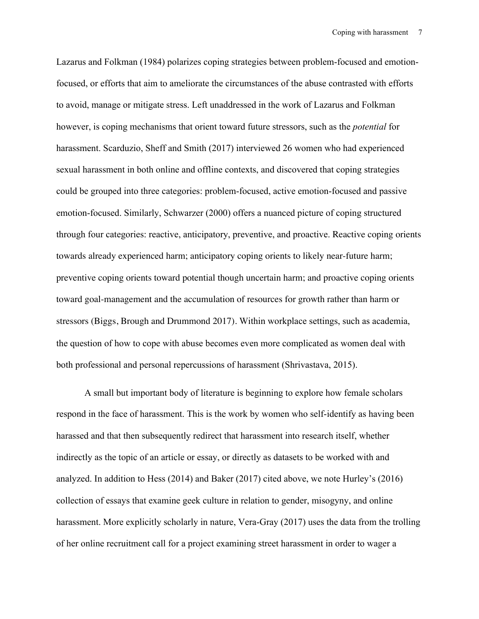Lazarus and Folkman (1984) polarizes coping strategies between problem-focused and emotionfocused, or efforts that aim to ameliorate the circumstances of the abuse contrasted with efforts to avoid, manage or mitigate stress. Left unaddressed in the work of Lazarus and Folkman however, is coping mechanisms that orient toward future stressors, such as the *potential* for harassment. Scarduzio, Sheff and Smith (2017) interviewed 26 women who had experienced sexual harassment in both online and offline contexts, and discovered that coping strategies could be grouped into three categories: problem-focused, active emotion-focused and passive emotion-focused. Similarly, Schwarzer (2000) offers a nuanced picture of coping structured through four categories: reactive, anticipatory, preventive, and proactive. Reactive coping orients towards already experienced harm; anticipatory coping orients to likely near-future harm; preventive coping orients toward potential though uncertain harm; and proactive coping orients toward goal-management and the accumulation of resources for growth rather than harm or stressors (Biggs, Brough and Drummond 2017). Within workplace settings, such as academia, the question of how to cope with abuse becomes even more complicated as women deal with both professional and personal repercussions of harassment (Shrivastava, 2015).

A small but important body of literature is beginning to explore how female scholars respond in the face of harassment. This is the work by women who self-identify as having been harassed and that then subsequently redirect that harassment into research itself, whether indirectly as the topic of an article or essay, or directly as datasets to be worked with and analyzed. In addition to Hess (2014) and Baker (2017) cited above, we note Hurley's (2016) collection of essays that examine geek culture in relation to gender, misogyny, and online harassment. More explicitly scholarly in nature, Vera-Gray (2017) uses the data from the trolling of her online recruitment call for a project examining street harassment in order to wager a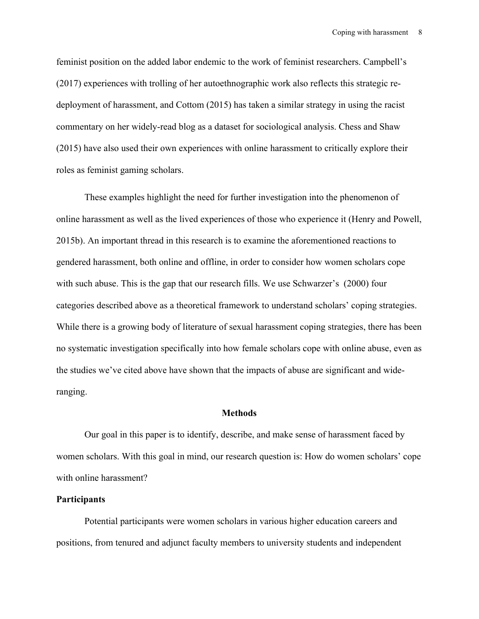feminist position on the added labor endemic to the work of feminist researchers. Campbell's (2017) experiences with trolling of her autoethnographic work also reflects this strategic redeployment of harassment, and Cottom (2015) has taken a similar strategy in using the racist commentary on her widely-read blog as a dataset for sociological analysis. Chess and Shaw (2015) have also used their own experiences with online harassment to critically explore their roles as feminist gaming scholars.

These examples highlight the need for further investigation into the phenomenon of online harassment as well as the lived experiences of those who experience it (Henry and Powell, 2015b). An important thread in this research is to examine the aforementioned reactions to gendered harassment, both online and offline, in order to consider how women scholars cope with such abuse. This is the gap that our research fills. We use Schwarzer's (2000) four categories described above as a theoretical framework to understand scholars' coping strategies. While there is a growing body of literature of sexual harassment coping strategies, there has been no systematic investigation specifically into how female scholars cope with online abuse, even as the studies we've cited above have shown that the impacts of abuse are significant and wideranging.

## **Methods**

Our goal in this paper is to identify, describe, and make sense of harassment faced by women scholars. With this goal in mind, our research question is: How do women scholars' cope with online harassment?

## **Participants**

Potential participants were women scholars in various higher education careers and positions, from tenured and adjunct faculty members to university students and independent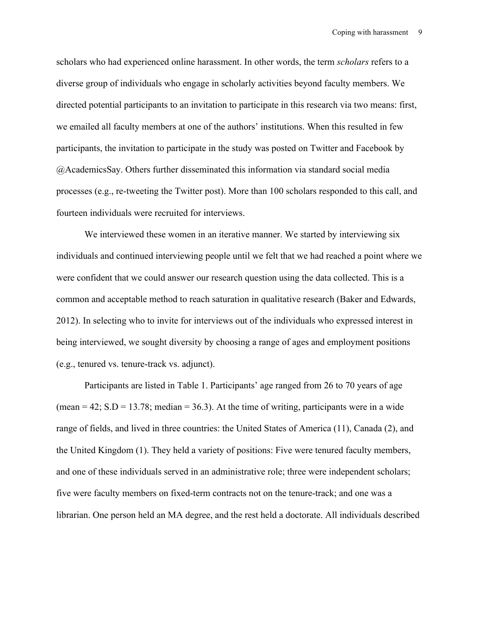scholars who had experienced online harassment. In other words, the term *scholars* refers to a diverse group of individuals who engage in scholarly activities beyond faculty members. We directed potential participants to an invitation to participate in this research via two means: first, we emailed all faculty members at one of the authors' institutions. When this resulted in few participants, the invitation to participate in the study was posted on Twitter and Facebook by @AcademicsSay. Others further disseminated this information via standard social media processes (e.g., re-tweeting the Twitter post). More than 100 scholars responded to this call, and fourteen individuals were recruited for interviews.

We interviewed these women in an iterative manner. We started by interviewing six individuals and continued interviewing people until we felt that we had reached a point where we were confident that we could answer our research question using the data collected. This is a common and acceptable method to reach saturation in qualitative research (Baker and Edwards, 2012). In selecting who to invite for interviews out of the individuals who expressed interest in being interviewed, we sought diversity by choosing a range of ages and employment positions (e.g., tenured vs. tenure-track vs. adjunct).

Participants are listed in Table 1. Participants' age ranged from 26 to 70 years of age (mean  $= 42$ ; S.D  $= 13.78$ ; median  $= 36.3$ ). At the time of writing, participants were in a wide range of fields, and lived in three countries: the United States of America (11), Canada (2), and the United Kingdom (1). They held a variety of positions: Five were tenured faculty members, and one of these individuals served in an administrative role; three were independent scholars; five were faculty members on fixed-term contracts not on the tenure-track; and one was a librarian. One person held an MA degree, and the rest held a doctorate. All individuals described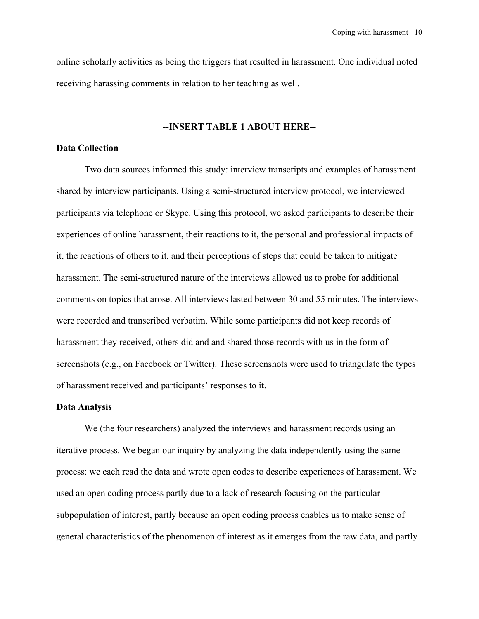online scholarly activities as being the triggers that resulted in harassment. One individual noted receiving harassing comments in relation to her teaching as well.

## **--INSERT TABLE 1 ABOUT HERE--**

## **Data Collection**

Two data sources informed this study: interview transcripts and examples of harassment shared by interview participants. Using a semi-structured interview protocol, we interviewed participants via telephone or Skype. Using this protocol, we asked participants to describe their experiences of online harassment, their reactions to it, the personal and professional impacts of it, the reactions of others to it, and their perceptions of steps that could be taken to mitigate harassment. The semi-structured nature of the interviews allowed us to probe for additional comments on topics that arose. All interviews lasted between 30 and 55 minutes. The interviews were recorded and transcribed verbatim. While some participants did not keep records of harassment they received, others did and and shared those records with us in the form of screenshots (e.g., on Facebook or Twitter). These screenshots were used to triangulate the types of harassment received and participants' responses to it.

## **Data Analysis**

We (the four researchers) analyzed the interviews and harassment records using an iterative process. We began our inquiry by analyzing the data independently using the same process: we each read the data and wrote open codes to describe experiences of harassment. We used an open coding process partly due to a lack of research focusing on the particular subpopulation of interest, partly because an open coding process enables us to make sense of general characteristics of the phenomenon of interest as it emerges from the raw data, and partly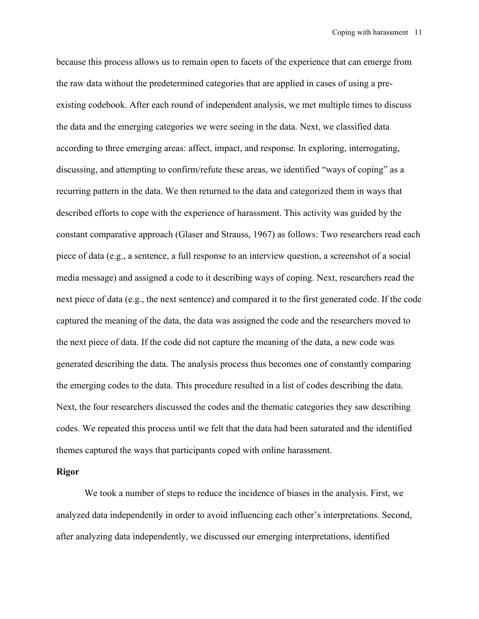because this process allows us to remain open to facets of the experience that can emerge from the raw data without the predetermined categories that are applied in cases of using a preexisting codebook. After each round of independent analysis, we met multiple times to discuss the data and the emerging categories we were seeing in the data. Next, we classified data according to three emerging areas: affect, impact, and response. In exploring, interrogating, discussing, and attempting to confirm/refute these areas, we identified "ways of coping" as a recurring pattern in the data. We then returned to the data and categorized them in ways that described efforts to cope with the experience of harassment. This activity was guided by the constant comparative approach (Glaser and Strauss, 1967) as follows: Two researchers read each piece of data (e.g., a sentence, a full response to an interview question, a screenshot of a social media message) and assigned a code to it describing ways of coping. Next, researchers read the next piece of data (e.g., the next sentence) and compared it to the first generated code. If the code captured the meaning of the data, the data was assigned the code and the researchers moved to the next piece of data. If the code did not capture the meaning of the data, a new code was generated describing the data. The analysis process thus becomes one of constantly comparing the emerging codes to the data. This procedure resulted in a list of codes describing the data. Next, the four researchers discussed the codes and the thematic categories they saw describing codes. We repeated this process until we felt that the data had been saturated and the identified themes captured the ways that participants coped with online harassment.

## **Rigor**

We took a number of steps to reduce the incidence of biases in the analysis. First, we analyzed data independently in order to avoid influencing each other's interpretations. Second, after analyzing data independently, we discussed our emerging interpretations, identified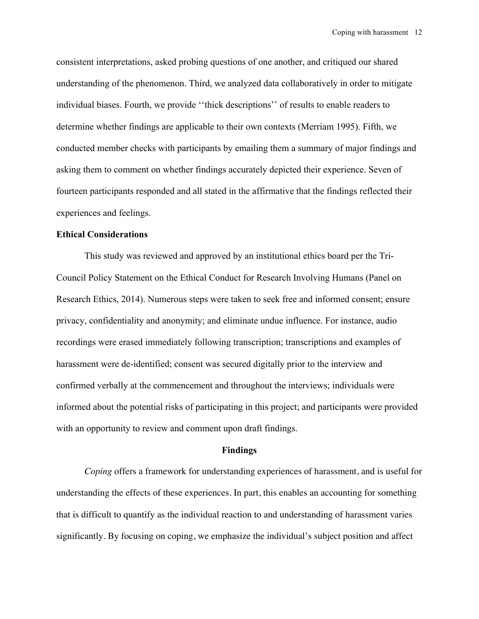consistent interpretations, asked probing questions of one another, and critiqued our shared understanding of the phenomenon. Third, we analyzed data collaboratively in order to mitigate individual biases. Fourth, we provide ''thick descriptions'' of results to enable readers to determine whether findings are applicable to their own contexts (Merriam 1995). Fifth, we conducted member checks with participants by emailing them a summary of major findings and asking them to comment on whether findings accurately depicted their experience. Seven of fourteen participants responded and all stated in the affirmative that the findings reflected their experiences and feelings.

## **Ethical Considerations**

This study was reviewed and approved by an institutional ethics board per the Tri-Council Policy Statement on the Ethical Conduct for Research Involving Humans (Panel on Research Ethics, 2014). Numerous steps were taken to seek free and informed consent; ensure privacy, confidentiality and anonymity; and eliminate undue influence. For instance, audio recordings were erased immediately following transcription; transcriptions and examples of harassment were de-identified; consent was secured digitally prior to the interview and confirmed verbally at the commencement and throughout the interviews; individuals were informed about the potential risks of participating in this project; and participants were provided with an opportunity to review and comment upon draft findings.

#### **Findings**

*Coping* offers a framework for understanding experiences of harassment, and is useful for understanding the effects of these experiences. In part, this enables an accounting for something that is difficult to quantify as the individual reaction to and understanding of harassment varies significantly. By focusing on coping, we emphasize the individual's subject position and affect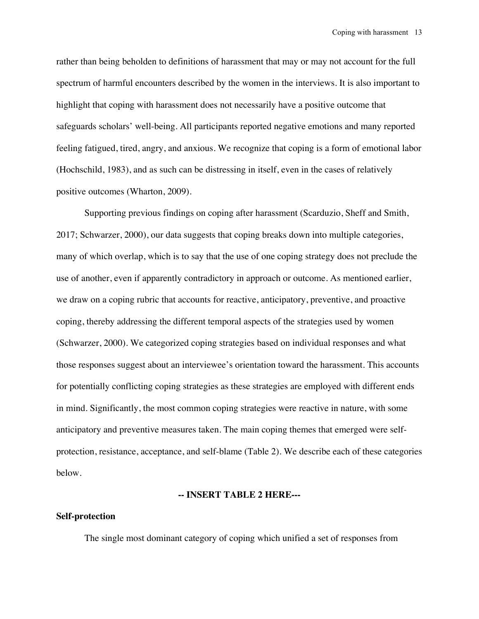rather than being beholden to definitions of harassment that may or may not account for the full spectrum of harmful encounters described by the women in the interviews. It is also important to highlight that coping with harassment does not necessarily have a positive outcome that safeguards scholars' well-being. All participants reported negative emotions and many reported feeling fatigued, tired, angry, and anxious. We recognize that coping is a form of emotional labor (Hochschild, 1983), and as such can be distressing in itself, even in the cases of relatively positive outcomes (Wharton, 2009).

Supporting previous findings on coping after harassment (Scarduzio, Sheff and Smith, 2017; Schwarzer, 2000), our data suggests that coping breaks down into multiple categories, many of which overlap, which is to say that the use of one coping strategy does not preclude the use of another, even if apparently contradictory in approach or outcome. As mentioned earlier, we draw on a coping rubric that accounts for reactive, anticipatory, preventive, and proactive coping, thereby addressing the different temporal aspects of the strategies used by women (Schwarzer, 2000). We categorized coping strategies based on individual responses and what those responses suggest about an interviewee's orientation toward the harassment. This accounts for potentially conflicting coping strategies as these strategies are employed with different ends in mind. Significantly, the most common coping strategies were reactive in nature, with some anticipatory and preventive measures taken. The main coping themes that emerged were selfprotection, resistance, acceptance, and self-blame (Table 2). We describe each of these categories below.

## **-- INSERT TABLE 2 HERE---**

## **Self-protection**

The single most dominant category of coping which unified a set of responses from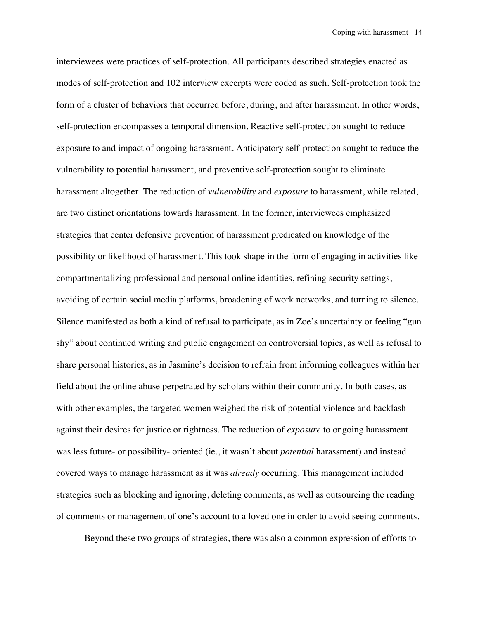interviewees were practices of self-protection. All participants described strategies enacted as modes of self-protection and 102 interview excerpts were coded as such. Self-protection took the form of a cluster of behaviors that occurred before, during, and after harassment. In other words, self-protection encompasses a temporal dimension. Reactive self-protection sought to reduce exposure to and impact of ongoing harassment. Anticipatory self-protection sought to reduce the vulnerability to potential harassment, and preventive self-protection sought to eliminate harassment altogether. The reduction of *vulnerability* and *exposure* to harassment, while related, are two distinct orientations towards harassment. In the former, interviewees emphasized strategies that center defensive prevention of harassment predicated on knowledge of the possibility or likelihood of harassment. This took shape in the form of engaging in activities like compartmentalizing professional and personal online identities, refining security settings, avoiding of certain social media platforms, broadening of work networks, and turning to silence. Silence manifested as both a kind of refusal to participate, as in Zoe's uncertainty or feeling "gun shy" about continued writing and public engagement on controversial topics, as well as refusal to share personal histories, as in Jasmine's decision to refrain from informing colleagues within her field about the online abuse perpetrated by scholars within their community. In both cases, as with other examples, the targeted women weighed the risk of potential violence and backlash against their desires for justice or rightness. The reduction of *exposure* to ongoing harassment was less future- or possibility- oriented (ie., it wasn't about *potential* harassment) and instead covered ways to manage harassment as it was *already* occurring. This management included strategies such as blocking and ignoring, deleting comments, as well as outsourcing the reading of comments or management of one's account to a loved one in order to avoid seeing comments.

Beyond these two groups of strategies, there was also a common expression of efforts to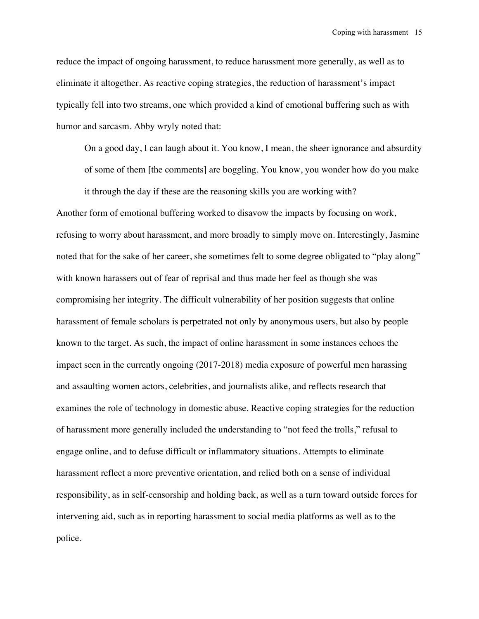reduce the impact of ongoing harassment, to reduce harassment more generally, as well as to eliminate it altogether. As reactive coping strategies, the reduction of harassment's impact typically fell into two streams, one which provided a kind of emotional buffering such as with humor and sarcasm. Abby wryly noted that:

On a good day, I can laugh about it. You know, I mean, the sheer ignorance and absurdity of some of them [the comments] are boggling. You know, you wonder how do you make it through the day if these are the reasoning skills you are working with?

Another form of emotional buffering worked to disavow the impacts by focusing on work, refusing to worry about harassment, and more broadly to simply move on. Interestingly, Jasmine noted that for the sake of her career, she sometimes felt to some degree obligated to "play along" with known harassers out of fear of reprisal and thus made her feel as though she was compromising her integrity. The difficult vulnerability of her position suggests that online harassment of female scholars is perpetrated not only by anonymous users, but also by people known to the target. As such, the impact of online harassment in some instances echoes the impact seen in the currently ongoing (2017-2018) media exposure of powerful men harassing and assaulting women actors, celebrities, and journalists alike, and reflects research that examines the role of technology in domestic abuse. Reactive coping strategies for the reduction of harassment more generally included the understanding to "not feed the trolls," refusal to engage online, and to defuse difficult or inflammatory situations. Attempts to eliminate harassment reflect a more preventive orientation, and relied both on a sense of individual responsibility, as in self-censorship and holding back, as well as a turn toward outside forces for intervening aid, such as in reporting harassment to social media platforms as well as to the police.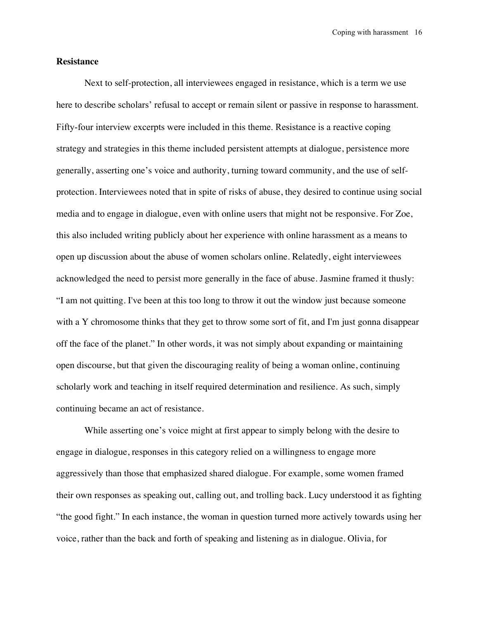## **Resistance**

Next to self-protection, all interviewees engaged in resistance, which is a term we use here to describe scholars' refusal to accept or remain silent or passive in response to harassment. Fifty-four interview excerpts were included in this theme. Resistance is a reactive coping strategy and strategies in this theme included persistent attempts at dialogue, persistence more generally, asserting one's voice and authority, turning toward community, and the use of selfprotection. Interviewees noted that in spite of risks of abuse, they desired to continue using social media and to engage in dialogue, even with online users that might not be responsive. For Zoe, this also included writing publicly about her experience with online harassment as a means to open up discussion about the abuse of women scholars online. Relatedly, eight interviewees acknowledged the need to persist more generally in the face of abuse. Jasmine framed it thusly: "I am not quitting. I've been at this too long to throw it out the window just because someone with a Y chromosome thinks that they get to throw some sort of fit, and I'm just gonna disappear off the face of the planet." In other words, it was not simply about expanding or maintaining open discourse, but that given the discouraging reality of being a woman online, continuing scholarly work and teaching in itself required determination and resilience. As such, simply continuing became an act of resistance.

While asserting one's voice might at first appear to simply belong with the desire to engage in dialogue, responses in this category relied on a willingness to engage more aggressively than those that emphasized shared dialogue. For example, some women framed their own responses as speaking out, calling out, and trolling back. Lucy understood it as fighting "the good fight." In each instance, the woman in question turned more actively towards using her voice, rather than the back and forth of speaking and listening as in dialogue. Olivia, for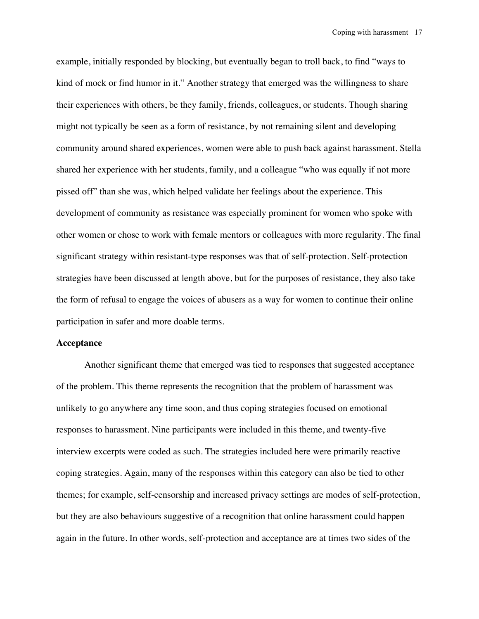example, initially responded by blocking, but eventually began to troll back, to find "ways to kind of mock or find humor in it." Another strategy that emerged was the willingness to share their experiences with others, be they family, friends, colleagues, or students. Though sharing might not typically be seen as a form of resistance, by not remaining silent and developing community around shared experiences, women were able to push back against harassment. Stella shared her experience with her students, family, and a colleague "who was equally if not more pissed off" than she was, which helped validate her feelings about the experience. This development of community as resistance was especially prominent for women who spoke with other women or chose to work with female mentors or colleagues with more regularity. The final significant strategy within resistant-type responses was that of self-protection. Self-protection strategies have been discussed at length above, but for the purposes of resistance, they also take the form of refusal to engage the voices of abusers as a way for women to continue their online participation in safer and more doable terms.

#### **Acceptance**

Another significant theme that emerged was tied to responses that suggested acceptance of the problem. This theme represents the recognition that the problem of harassment was unlikely to go anywhere any time soon, and thus coping strategies focused on emotional responses to harassment. Nine participants were included in this theme, and twenty-five interview excerpts were coded as such. The strategies included here were primarily reactive coping strategies. Again, many of the responses within this category can also be tied to other themes; for example, self-censorship and increased privacy settings are modes of self-protection, but they are also behaviours suggestive of a recognition that online harassment could happen again in the future. In other words, self-protection and acceptance are at times two sides of the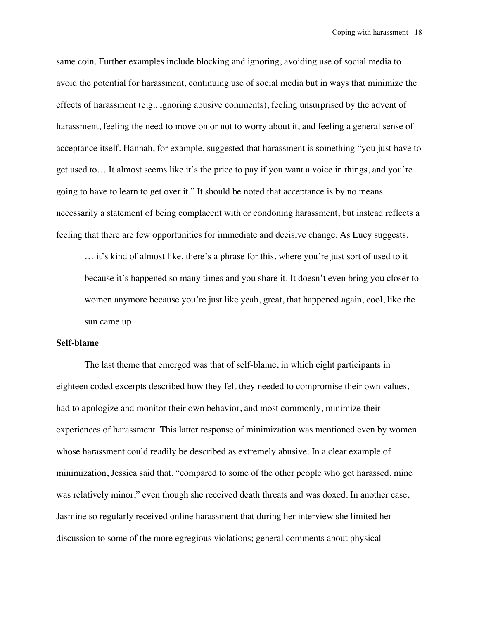same coin. Further examples include blocking and ignoring, avoiding use of social media to avoid the potential for harassment, continuing use of social media but in ways that minimize the effects of harassment (e.g., ignoring abusive comments), feeling unsurprised by the advent of harassment, feeling the need to move on or not to worry about it, and feeling a general sense of acceptance itself. Hannah, for example, suggested that harassment is something "you just have to get used to… It almost seems like it's the price to pay if you want a voice in things, and you're going to have to learn to get over it." It should be noted that acceptance is by no means necessarily a statement of being complacent with or condoning harassment, but instead reflects a feeling that there are few opportunities for immediate and decisive change. As Lucy suggests,

… it's kind of almost like, there's a phrase for this, where you're just sort of used to it because it's happened so many times and you share it. It doesn't even bring you closer to women anymore because you're just like yeah, great, that happened again, cool, like the sun came up.

#### **Self-blame**

The last theme that emerged was that of self-blame, in which eight participants in eighteen coded excerpts described how they felt they needed to compromise their own values, had to apologize and monitor their own behavior, and most commonly, minimize their experiences of harassment. This latter response of minimization was mentioned even by women whose harassment could readily be described as extremely abusive. In a clear example of minimization, Jessica said that, "compared to some of the other people who got harassed, mine was relatively minor," even though she received death threats and was doxed. In another case, Jasmine so regularly received online harassment that during her interview she limited her discussion to some of the more egregious violations; general comments about physical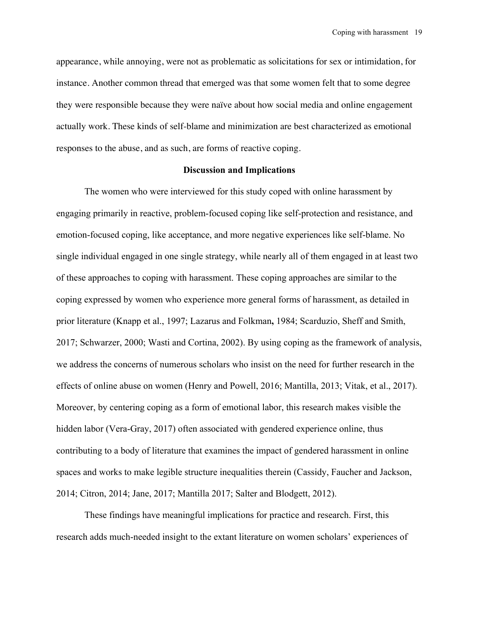appearance, while annoying, were not as problematic as solicitations for sex or intimidation, for instance. Another common thread that emerged was that some women felt that to some degree they were responsible because they were naïve about how social media and online engagement actually work. These kinds of self-blame and minimization are best characterized as emotional responses to the abuse, and as such, are forms of reactive coping.

## **Discussion and Implications**

The women who were interviewed for this study coped with online harassment by engaging primarily in reactive, problem-focused coping like self-protection and resistance, and emotion-focused coping, like acceptance, and more negative experiences like self-blame. No single individual engaged in one single strategy, while nearly all of them engaged in at least two of these approaches to coping with harassment. These coping approaches are similar to the coping expressed by women who experience more general forms of harassment, as detailed in prior literature (Knapp et al., 1997; Lazarus and Folkman**,** 1984; Scarduzio, Sheff and Smith, 2017; Schwarzer, 2000; Wasti and Cortina, 2002). By using coping as the framework of analysis, we address the concerns of numerous scholars who insist on the need for further research in the effects of online abuse on women (Henry and Powell, 2016; Mantilla, 2013; Vitak, et al., 2017). Moreover, by centering coping as a form of emotional labor, this research makes visible the hidden labor (Vera-Gray, 2017) often associated with gendered experience online, thus contributing to a body of literature that examines the impact of gendered harassment in online spaces and works to make legible structure inequalities therein (Cassidy, Faucher and Jackson, 2014; Citron, 2014; Jane, 2017; Mantilla 2017; Salter and Blodgett, 2012).

These findings have meaningful implications for practice and research. First, this research adds much-needed insight to the extant literature on women scholars' experiences of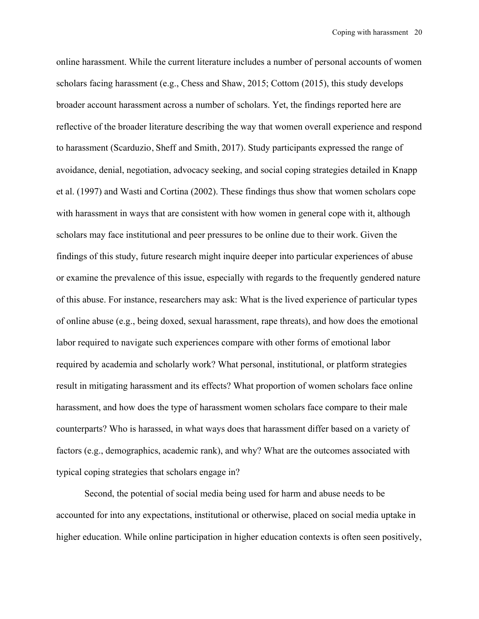online harassment. While the current literature includes a number of personal accounts of women scholars facing harassment (e.g., Chess and Shaw, 2015; Cottom (2015), this study develops broader account harassment across a number of scholars. Yet, the findings reported here are reflective of the broader literature describing the way that women overall experience and respond to harassment (Scarduzio, Sheff and Smith, 2017). Study participants expressed the range of avoidance, denial, negotiation, advocacy seeking, and social coping strategies detailed in Knapp et al. (1997) and Wasti and Cortina (2002). These findings thus show that women scholars cope with harassment in ways that are consistent with how women in general cope with it, although scholars may face institutional and peer pressures to be online due to their work. Given the findings of this study, future research might inquire deeper into particular experiences of abuse or examine the prevalence of this issue, especially with regards to the frequently gendered nature of this abuse. For instance, researchers may ask: What is the lived experience of particular types of online abuse (e.g., being doxed, sexual harassment, rape threats), and how does the emotional labor required to navigate such experiences compare with other forms of emotional labor required by academia and scholarly work? What personal, institutional, or platform strategies result in mitigating harassment and its effects? What proportion of women scholars face online harassment, and how does the type of harassment women scholars face compare to their male counterparts? Who is harassed, in what ways does that harassment differ based on a variety of factors (e.g., demographics, academic rank), and why? What are the outcomes associated with typical coping strategies that scholars engage in?

Second, the potential of social media being used for harm and abuse needs to be accounted for into any expectations, institutional or otherwise, placed on social media uptake in higher education. While online participation in higher education contexts is often seen positively,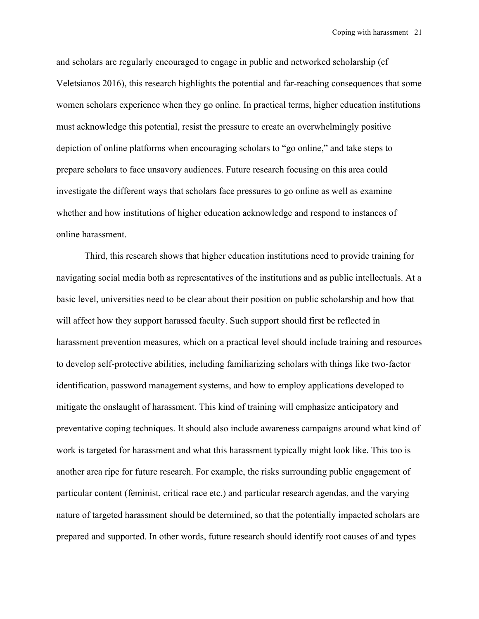and scholars are regularly encouraged to engage in public and networked scholarship (cf Veletsianos 2016), this research highlights the potential and far-reaching consequences that some women scholars experience when they go online. In practical terms, higher education institutions must acknowledge this potential, resist the pressure to create an overwhelmingly positive depiction of online platforms when encouraging scholars to "go online," and take steps to prepare scholars to face unsavory audiences. Future research focusing on this area could investigate the different ways that scholars face pressures to go online as well as examine whether and how institutions of higher education acknowledge and respond to instances of online harassment.

Third, this research shows that higher education institutions need to provide training for navigating social media both as representatives of the institutions and as public intellectuals. At a basic level, universities need to be clear about their position on public scholarship and how that will affect how they support harassed faculty. Such support should first be reflected in harassment prevention measures, which on a practical level should include training and resources to develop self-protective abilities, including familiarizing scholars with things like two-factor identification, password management systems, and how to employ applications developed to mitigate the onslaught of harassment. This kind of training will emphasize anticipatory and preventative coping techniques. It should also include awareness campaigns around what kind of work is targeted for harassment and what this harassment typically might look like. This too is another area ripe for future research. For example, the risks surrounding public engagement of particular content (feminist, critical race etc.) and particular research agendas, and the varying nature of targeted harassment should be determined, so that the potentially impacted scholars are prepared and supported. In other words, future research should identify root causes of and types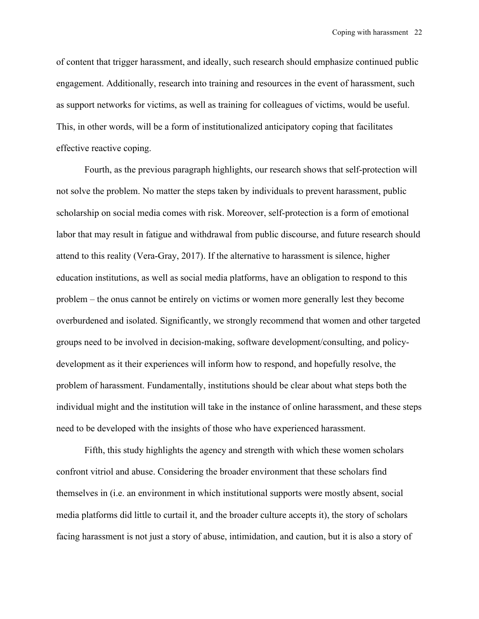of content that trigger harassment, and ideally, such research should emphasize continued public engagement. Additionally, research into training and resources in the event of harassment, such as support networks for victims, as well as training for colleagues of victims, would be useful. This, in other words, will be a form of institutionalized anticipatory coping that facilitates effective reactive coping.

Fourth, as the previous paragraph highlights, our research shows that self-protection will not solve the problem. No matter the steps taken by individuals to prevent harassment, public scholarship on social media comes with risk. Moreover, self-protection is a form of emotional labor that may result in fatigue and withdrawal from public discourse, and future research should attend to this reality (Vera-Gray, 2017). If the alternative to harassment is silence, higher education institutions, as well as social media platforms, have an obligation to respond to this problem – the onus cannot be entirely on victims or women more generally lest they become overburdened and isolated. Significantly, we strongly recommend that women and other targeted groups need to be involved in decision-making, software development/consulting, and policydevelopment as it their experiences will inform how to respond, and hopefully resolve, the problem of harassment. Fundamentally, institutions should be clear about what steps both the individual might and the institution will take in the instance of online harassment, and these steps need to be developed with the insights of those who have experienced harassment.

Fifth, this study highlights the agency and strength with which these women scholars confront vitriol and abuse. Considering the broader environment that these scholars find themselves in (i.e. an environment in which institutional supports were mostly absent, social media platforms did little to curtail it, and the broader culture accepts it), the story of scholars facing harassment is not just a story of abuse, intimidation, and caution, but it is also a story of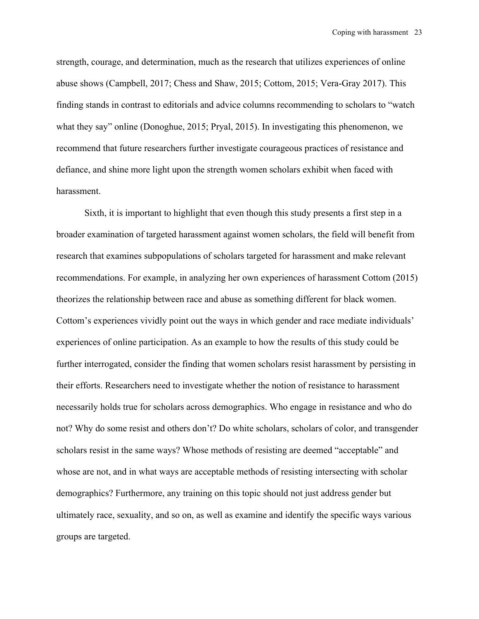strength, courage, and determination, much as the research that utilizes experiences of online abuse shows (Campbell, 2017; Chess and Shaw, 2015; Cottom, 2015; Vera-Gray 2017). This finding stands in contrast to editorials and advice columns recommending to scholars to "watch what they say" online (Donoghue, 2015; Pryal, 2015). In investigating this phenomenon, we recommend that future researchers further investigate courageous practices of resistance and defiance, and shine more light upon the strength women scholars exhibit when faced with harassment.

Sixth, it is important to highlight that even though this study presents a first step in a broader examination of targeted harassment against women scholars, the field will benefit from research that examines subpopulations of scholars targeted for harassment and make relevant recommendations. For example, in analyzing her own experiences of harassment Cottom (2015) theorizes the relationship between race and abuse as something different for black women. Cottom's experiences vividly point out the ways in which gender and race mediate individuals' experiences of online participation. As an example to how the results of this study could be further interrogated, consider the finding that women scholars resist harassment by persisting in their efforts. Researchers need to investigate whether the notion of resistance to harassment necessarily holds true for scholars across demographics. Who engage in resistance and who do not? Why do some resist and others don't? Do white scholars, scholars of color, and transgender scholars resist in the same ways? Whose methods of resisting are deemed "acceptable" and whose are not, and in what ways are acceptable methods of resisting intersecting with scholar demographics? Furthermore, any training on this topic should not just address gender but ultimately race, sexuality, and so on, as well as examine and identify the specific ways various groups are targeted.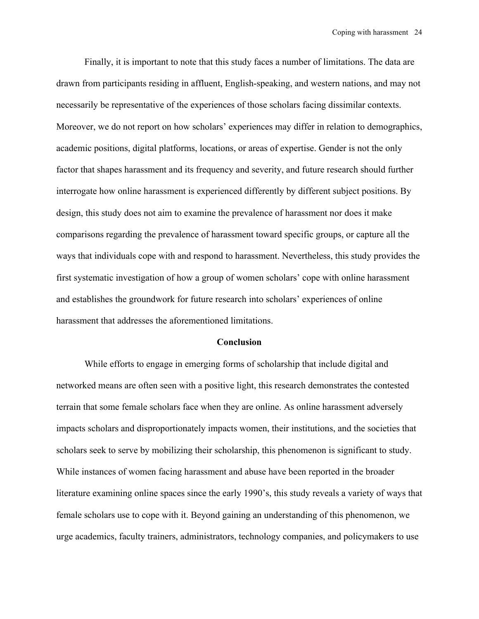Finally, it is important to note that this study faces a number of limitations. The data are drawn from participants residing in affluent, English-speaking, and western nations, and may not necessarily be representative of the experiences of those scholars facing dissimilar contexts. Moreover, we do not report on how scholars' experiences may differ in relation to demographics, academic positions, digital platforms, locations, or areas of expertise. Gender is not the only factor that shapes harassment and its frequency and severity, and future research should further interrogate how online harassment is experienced differently by different subject positions. By design, this study does not aim to examine the prevalence of harassment nor does it make comparisons regarding the prevalence of harassment toward specific groups, or capture all the ways that individuals cope with and respond to harassment. Nevertheless, this study provides the first systematic investigation of how a group of women scholars' cope with online harassment and establishes the groundwork for future research into scholars' experiences of online harassment that addresses the aforementioned limitations.

## **Conclusion**

While efforts to engage in emerging forms of scholarship that include digital and networked means are often seen with a positive light, this research demonstrates the contested terrain that some female scholars face when they are online. As online harassment adversely impacts scholars and disproportionately impacts women, their institutions, and the societies that scholars seek to serve by mobilizing their scholarship, this phenomenon is significant to study. While instances of women facing harassment and abuse have been reported in the broader literature examining online spaces since the early 1990's, this study reveals a variety of ways that female scholars use to cope with it. Beyond gaining an understanding of this phenomenon, we urge academics, faculty trainers, administrators, technology companies, and policymakers to use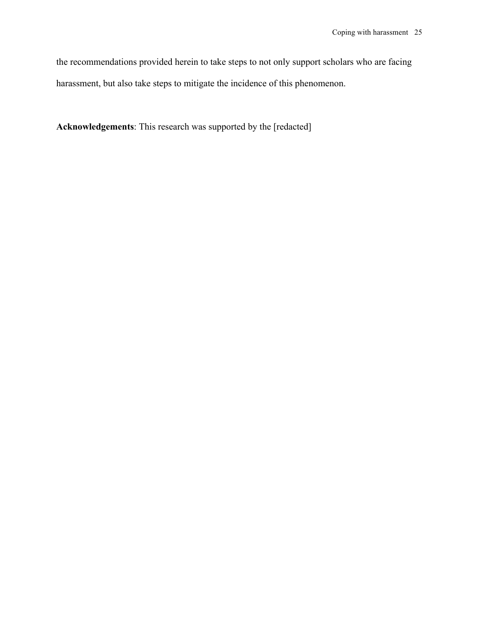the recommendations provided herein to take steps to not only support scholars who are facing harassment, but also take steps to mitigate the incidence of this phenomenon.

**Acknowledgements**: This research was supported by the [redacted]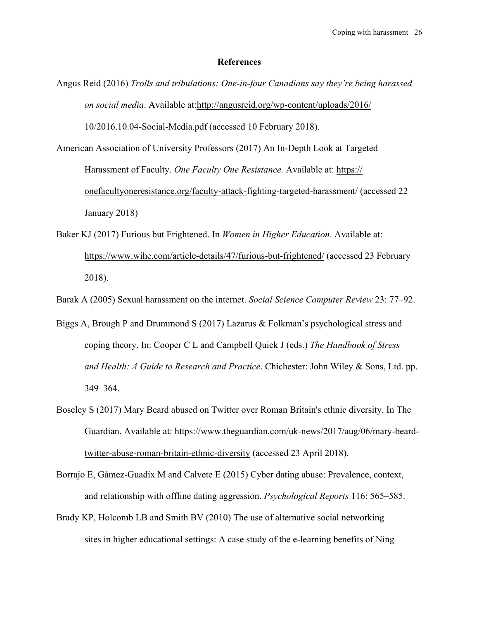### **References**

- Angus Reid (2016) *Trolls and tribulations: One-in-four Canadians say they're being harassed on social media*. Available at:http://angusreid.org/wp-content/uploads/2016/ 10/2016.10.04-Social-Media.pdf (accessed 10 February 2018).
- American Association of University Professors (2017) An In-Depth Look at Targeted Harassment of Faculty. *One Faculty One Resistance.* Available at: https:// onefacultyoneresistance.org/faculty-attack-fighting-targeted-harassment/ (accessed 22 January 2018)
- Baker KJ (2017) Furious but Frightened. In *Women in Higher Education*. Available at: https://www.wihe.com/article-details/47/furious-but-frightened/ (accessed 23 February 2018).
- Barak A (2005) Sexual harassment on the internet. *Social Science Computer Review* 23: 77–92.
- Biggs A, Brough P and Drummond S (2017) Lazarus & Folkman's psychological stress and coping theory. In: Cooper C L and Campbell Quick J (eds.) *The Handbook of Stress and Health: A Guide to Research and Practice*. Chichester: John Wiley & Sons, Ltd. pp. 349–364.
- Boseley S (2017) Mary Beard abused on Twitter over Roman Britain's ethnic diversity. In The Guardian. Available at: https://www.theguardian.com/uk-news/2017/aug/06/mary-beardtwitter-abuse-roman-britain-ethnic-diversity (accessed 23 April 2018).
- Borrajo E, Gámez-Guadix M and Calvete E (2015) Cyber dating abuse: Prevalence, context, and relationship with offline dating aggression. *Psychological Reports* 116: 565–585.
- Brady KP, Holcomb LB and Smith BV (2010) The use of alternative social networking sites in higher educational settings: A case study of the e-learning benefits of Ning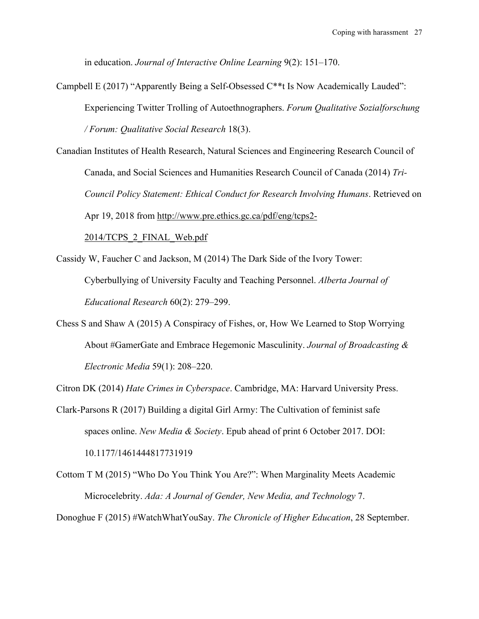in education. *Journal of Interactive Online Learning* 9(2): 151–170.

Campbell E (2017) "Apparently Being a Self-Obsessed C\*\*t Is Now Academically Lauded": Experiencing Twitter Trolling of Autoethnographers. *Forum Qualitative Sozialforschung / Forum: Qualitative Social Research* 18(3).

Canadian Institutes of Health Research, Natural Sciences and Engineering Research Council of Canada, and Social Sciences and Humanities Research Council of Canada (2014) *Tri-Council Policy Statement: Ethical Conduct for Research Involving Humans*. Retrieved on Apr 19, 2018 from http://www.pre.ethics.gc.ca/pdf/eng/tcps2-

2014/TCPS\_2\_FINAL\_Web.pdf

Cassidy W, Faucher C and Jackson, M (2014) The Dark Side of the Ivory Tower:

Cyberbullying of University Faculty and Teaching Personnel. *Alberta Journal of Educational Research* 60(2): 279–299.

Chess S and Shaw A (2015) A Conspiracy of Fishes, or, How We Learned to Stop Worrying About #GamerGate and Embrace Hegemonic Masculinity. *Journal of Broadcasting & Electronic Media* 59(1): 208–220.

Citron DK (2014) *Hate Crimes in Cyberspace*. Cambridge, MA: Harvard University Press.

Clark-Parsons R (2017) Building a digital Girl Army: The Cultivation of feminist safe spaces online. *New Media & Society*. Epub ahead of print 6 October 2017. DOI: 10.1177/1461444817731919

Cottom T M (2015) "Who Do You Think You Are?": When Marginality Meets Academic Microcelebrity. *Ada: A Journal of Gender, New Media, and Technology* 7.

Donoghue F (2015) #WatchWhatYouSay. *The Chronicle of Higher Education*, 28 September.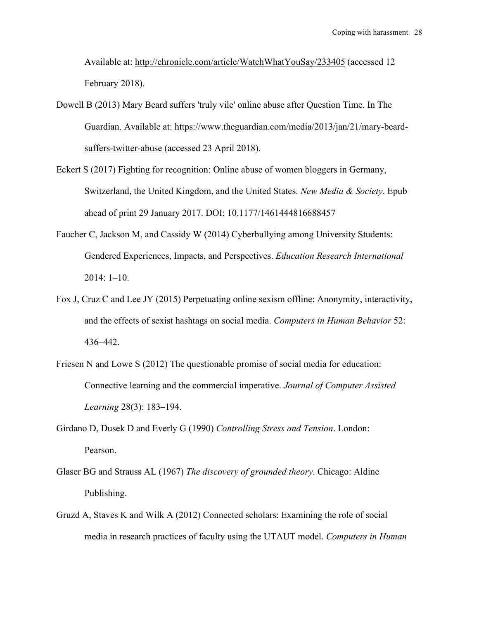Available at: http://chronicle.com/article/WatchWhatYouSay/233405 (accessed 12 February 2018).

- Dowell B (2013) Mary Beard suffers 'truly vile' online abuse after Question Time. In The Guardian. Available at: https://www.theguardian.com/media/2013/jan/21/mary-beardsuffers-twitter-abuse (accessed 23 April 2018).
- Eckert S (2017) Fighting for recognition: Online abuse of women bloggers in Germany, Switzerland, the United Kingdom, and the United States. *New Media & Society*. Epub ahead of print 29 January 2017. DOI: 10.1177/1461444816688457
- Faucher C, Jackson M, and Cassidy W (2014) Cyberbullying among University Students: Gendered Experiences, Impacts, and Perspectives. *Education Research International* 2014: 1–10.
- Fox J, Cruz C and Lee JY (2015) Perpetuating online sexism offline: Anonymity, interactivity, and the effects of sexist hashtags on social media. *Computers in Human Behavior* 52: 436–442.
- Friesen N and Lowe S (2012) The questionable promise of social media for education: Connective learning and the commercial imperative. *Journal of Computer Assisted Learning* 28(3): 183–194.
- Girdano D, Dusek D and Everly G (1990) *Controlling Stress and Tension*. London: Pearson.
- Glaser BG and Strauss AL (1967) *The discovery of grounded theory*. Chicago: Aldine Publishing.
- Gruzd A, Staves K and Wilk A (2012) Connected scholars: Examining the role of social media in research practices of faculty using the UTAUT model. *Computers in Human*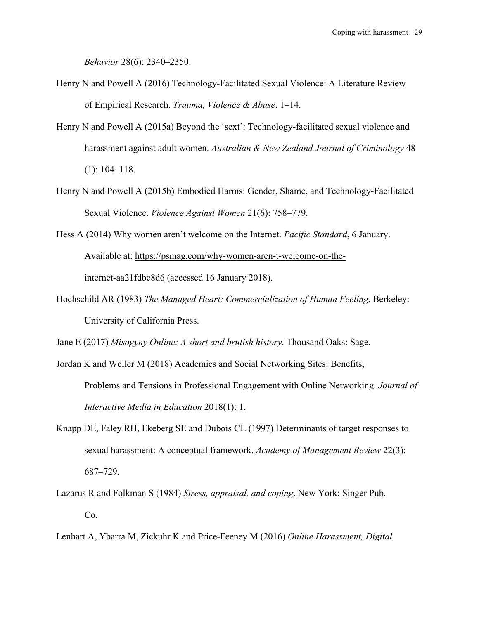*Behavior* 28(6): 2340–2350.

- Henry N and Powell A (2016) Technology-Facilitated Sexual Violence: A Literature Review of Empirical Research. *Trauma, Violence & Abuse*. 1–14.
- Henry N and Powell A (2015a) Beyond the 'sext': Technology-facilitated sexual violence and harassment against adult women. *Australian & New Zealand Journal of Criminology* 48 (1): 104–118.
- Henry N and Powell A (2015b) Embodied Harms: Gender, Shame, and Technology-Facilitated Sexual Violence. *Violence Against Women* 21(6): 758–779.
- Hess A (2014) Why women aren't welcome on the Internet. *Pacific Standard*, 6 January. Available at: https://psmag.com/why-women-aren-t-welcome-on-theinternet-aa21fdbc8d6 (accessed 16 January 2018).
- Hochschild AR (1983) *The Managed Heart: Commercialization of Human Feeling*. Berkeley: University of California Press.

Jane E (2017) *Misogyny Online: A short and brutish history*. Thousand Oaks: Sage.

- Jordan K and Weller M (2018) Academics and Social Networking Sites: Benefits, Problems and Tensions in Professional Engagement with Online Networking. *Journal of Interactive Media in Education* 2018(1): 1.
- Knapp DE, Faley RH, Ekeberg SE and Dubois CL (1997) Determinants of target responses to sexual harassment: A conceptual framework. *Academy of Management Review* 22(3): 687–729.
- Lazarus R and Folkman S (1984) *Stress, appraisal, and coping*. New York: Singer Pub. Co.
- Lenhart A, Ybarra M, Zickuhr K and Price-Feeney M (2016) *Online Harassment, Digital*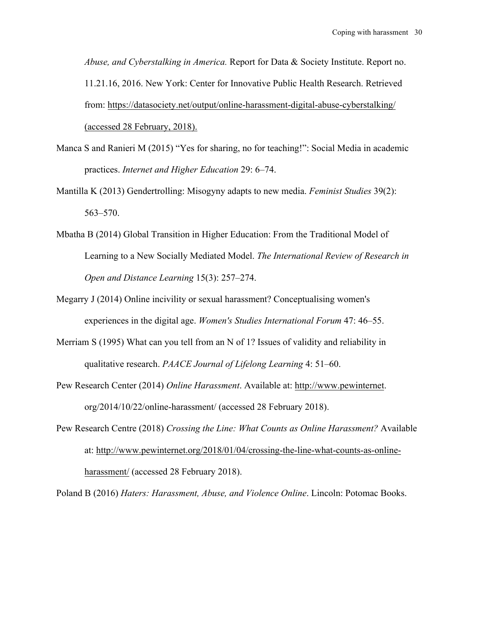*Abuse, and Cyberstalking in America.* Report for Data & Society Institute. Report no. 11.21.16, 2016. New York: Center for Innovative Public Health Research. Retrieved from: https://datasociety.net/output/online-harassment-digital-abuse-cyberstalking/ (accessed 28 February, 2018).

- Manca S and Ranieri M (2015) "Yes for sharing, no for teaching!": Social Media in academic practices. *Internet and Higher Education* 29: 6–74.
- Mantilla K (2013) Gendertrolling: Misogyny adapts to new media. *Feminist Studies* 39(2): 563–570.
- Mbatha B (2014) Global Transition in Higher Education: From the Traditional Model of Learning to a New Socially Mediated Model. *The International Review of Research in Open and Distance Learning* 15(3): 257–274.
- Megarry J (2014) Online incivility or sexual harassment? Conceptualising women's experiences in the digital age. *Women's Studies International Forum* 47: 46–55.
- Merriam S (1995) What can you tell from an N of 1? Issues of validity and reliability in qualitative research. *PAACE Journal of Lifelong Learning* 4: 51–60.
- Pew Research Center (2014) *Online Harassment*. Available at: http://www.pewinternet. org/2014/10/22/online-harassment/ (accessed 28 February 2018).
- Pew Research Centre (2018) *Crossing the Line: What Counts as Online Harassment?* Available at: http://www.pewinternet.org/2018/01/04/crossing-the-line-what-counts-as-onlineharassment/ (accessed 28 February 2018).

Poland B (2016) *Haters: Harassment, Abuse, and Violence Online*. Lincoln: Potomac Books.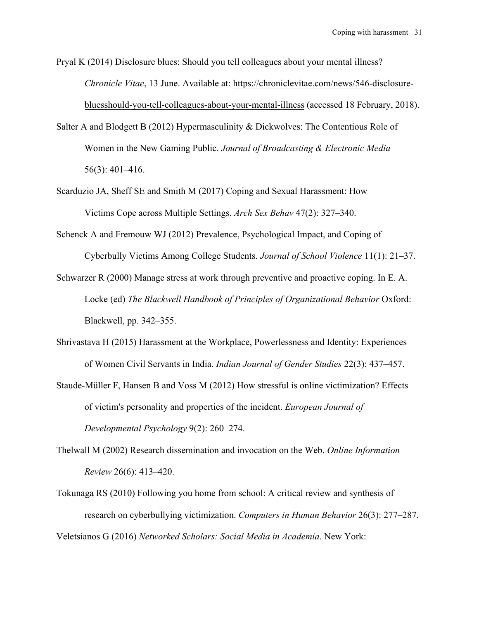Pryal K (2014) Disclosure blues: Should you tell colleagues about your mental illness? *Chronicle Vitae*, 13 June. Available at: https://chroniclevitae.com/news/546-disclosurebluesshould-you-tell-colleagues-about-your-mental-illness (accessed 18 February, 2018).

- Salter A and Blodgett B (2012) Hypermasculinity & Dickwolves: The Contentious Role of Women in the New Gaming Public. *Journal of Broadcasting & Electronic Media* 56(3): 401–416.
- Scarduzio JA, Sheff SE and Smith M (2017) Coping and Sexual Harassment: How Victims Cope across Multiple Settings. *Arch Sex Behav* 47(2): 327–340.
- Schenck A and Fremouw WJ (2012) Prevalence, Psychological Impact, and Coping of Cyberbully Victims Among College Students. *Journal of School Violence* 11(1): 21–37.
- Schwarzer R (2000) Manage stress at work through preventive and proactive coping. In E. A. Locke (ed) *The Blackwell Handbook of Principles of Organizational Behavior* Oxford: Blackwell, pp. 342–355.
- Shrivastava H (2015) Harassment at the Workplace, Powerlessness and Identity: Experiences of Women Civil Servants in India. *Indian Journal of Gender Studies* 22(3): 437–457.
- Staude-Müller F, Hansen B and Voss M (2012) How stressful is online victimization? Effects of victim's personality and properties of the incident. *European Journal of Developmental Psychology* 9(2): 260–274.
- Thelwall M (2002) Research dissemination and invocation on the Web. *Online Information Review* 26(6): 413–420.
- Tokunaga RS (2010) Following you home from school: A critical review and synthesis of research on cyberbullying victimization. *Computers in Human Behavior* 26(3): 277–287. Veletsianos G (2016) *Networked Scholars: Social Media in Academia*. New York: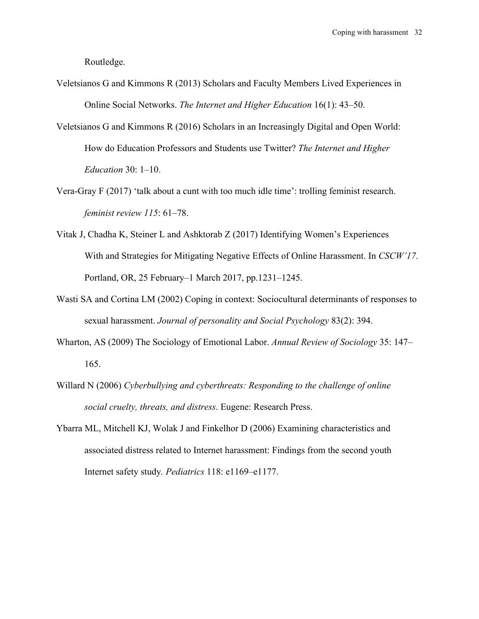Routledge.

- Veletsianos G and Kimmons R (2013) Scholars and Faculty Members Lived Experiences in Online Social Networks. *The Internet and Higher Education* 16(1): 43–50.
- Veletsianos G and Kimmons R (2016) Scholars in an Increasingly Digital and Open World: How do Education Professors and Students use Twitter? *The Internet and Higher Education* 30: 1–10.
- Vera-Gray F (2017) 'talk about a cunt with too much idle time': trolling feminist research. *feminist review 115*: 61–78.
- Vitak J, Chadha K, Steiner L and Ashktorab Z (2017) Identifying Women's Experiences With and Strategies for Mitigating Negative Effects of Online Harassment. In *CSCW'17*. Portland, OR, 25 February–1 March 2017, pp.1231–1245.
- Wasti SA and Cortina LM (2002) Coping in context: Sociocultural determinants of responses to sexual harassment. *Journal of personality and Social Psychology* 83(2): 394.
- Wharton, AS (2009) The Sociology of Emotional Labor. *Annual Review of Sociology* 35: 147– 165.
- Willard N (2006) *Cyberbullying and cyberthreats: Responding to the challenge of online social cruelty, threats, and distress*. Eugene: Research Press.
- Ybarra ML, Mitchell KJ, Wolak J and Finkelhor D (2006) Examining characteristics and associated distress related to Internet harassment: Findings from the second youth Internet safety study*. Pediatrics* 118: e1169–e1177.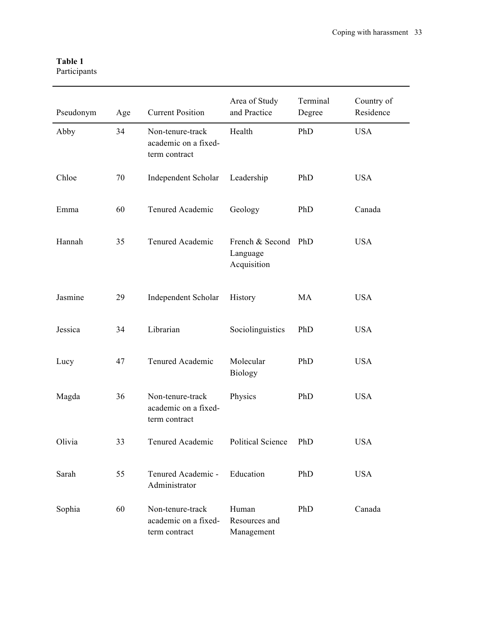| Table 1      |
|--------------|
| Participants |

| Pseudonym | Age | <b>Current Position</b>                                   | Area of Study<br>and Practice              | Terminal<br>Degree | Country of<br>Residence |
|-----------|-----|-----------------------------------------------------------|--------------------------------------------|--------------------|-------------------------|
| Abby      | 34  | Non-tenure-track<br>academic on a fixed-<br>term contract | Health                                     | PhD                | <b>USA</b>              |
| Chloe     | 70  | Independent Scholar                                       | Leadership                                 | PhD                | <b>USA</b>              |
| Emma      | 60  | Tenured Academic                                          | Geology                                    | PhD                | Canada                  |
| Hannah    | 35  | Tenured Academic                                          | French & Second<br>Language<br>Acquisition | PhD                | <b>USA</b>              |
| Jasmine   | 29  | Independent Scholar                                       | History                                    | MA                 | <b>USA</b>              |
| Jessica   | 34  | Librarian                                                 | Sociolinguistics                           | PhD                | <b>USA</b>              |
| Lucy      | 47  | Tenured Academic                                          | Molecular<br><b>Biology</b>                | PhD                | <b>USA</b>              |
| Magda     | 36  | Non-tenure-track<br>academic on a fixed-<br>term contract | Physics                                    | PhD                | <b>USA</b>              |
| Olivia    | 33  | Tenured Academic                                          | Political Science                          | PhD                | USA                     |
| Sarah     | 55  | Tenured Academic -<br>Administrator                       | Education                                  | PhD                | <b>USA</b>              |
| Sophia    | 60  | Non-tenure-track<br>academic on a fixed-<br>term contract | Human<br>Resources and<br>Management       | PhD                | Canada                  |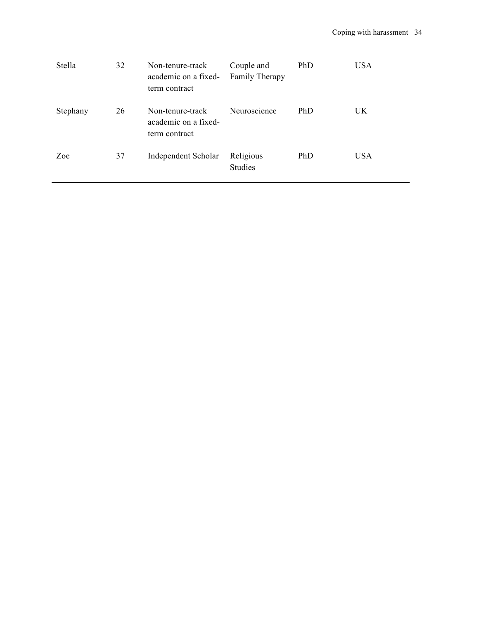| Stella   | 32 | Non-tenure-track<br>academic on a fixed-<br>term contract | Couple and<br>Family Therapy | PhD | <b>USA</b> |
|----------|----|-----------------------------------------------------------|------------------------------|-----|------------|
| Stephany | 26 | Non-tenure-track<br>academic on a fixed-<br>term contract | Neuroscience                 | PhD | <b>UK</b>  |
| Zoe      | 37 | Independent Scholar                                       | Religious<br>Studies         | PhD | <b>USA</b> |